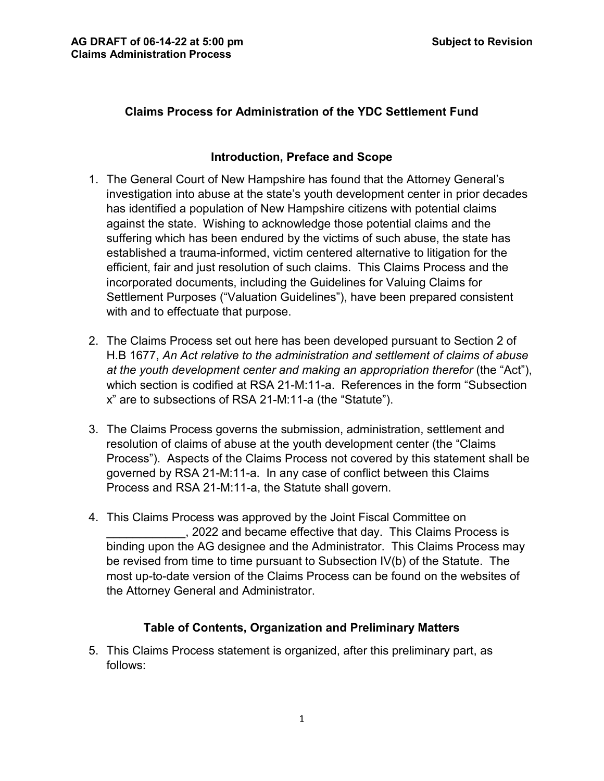## **Claims Process for Administration of the YDC Settlement Fund**

### **Introduction, Preface and Scope**

- 1. The General Court of New Hampshire has found that the Attorney General's investigation into abuse at the state's youth development center in prior decades has identified a population of New Hampshire citizens with potential claims against the state. Wishing to acknowledge those potential claims and the suffering which has been endured by the victims of such abuse, the state has established a trauma-informed, victim centered alternative to litigation for the efficient, fair and just resolution of such claims. This Claims Process and the incorporated documents, including the Guidelines for Valuing Claims for Settlement Purposes ("Valuation Guidelines"), have been prepared consistent with and to effectuate that purpose.
- 2. The Claims Process set out here has been developed pursuant to Section 2 of H.B 1677, *An Act relative to the administration and settlement of claims of abuse at the youth development center and making an appropriation therefor* (the "Act"), which section is codified at RSA 21-M:11-a. References in the form "Subsection x" are to subsections of RSA 21-M:11-a (the "Statute").
- 3. The Claims Process governs the submission, administration, settlement and resolution of claims of abuse at the youth development center (the "Claims Process"). Aspects of the Claims Process not covered by this statement shall be governed by RSA 21-M:11-a. In any case of conflict between this Claims Process and RSA 21-M:11-a, the Statute shall govern.
- 4. This Claims Process was approved by the Joint Fiscal Committee on \_\_\_\_\_\_\_\_\_\_\_\_, 2022 and became effective that day. This Claims Process is binding upon the AG designee and the Administrator. This Claims Process may be revised from time to time pursuant to Subsection IV(b) of the Statute. The most up-to-date version of the Claims Process can be found on the websites of the Attorney General and Administrator.

# **Table of Contents, Organization and Preliminary Matters**

5. This Claims Process statement is organized, after this preliminary part, as follows: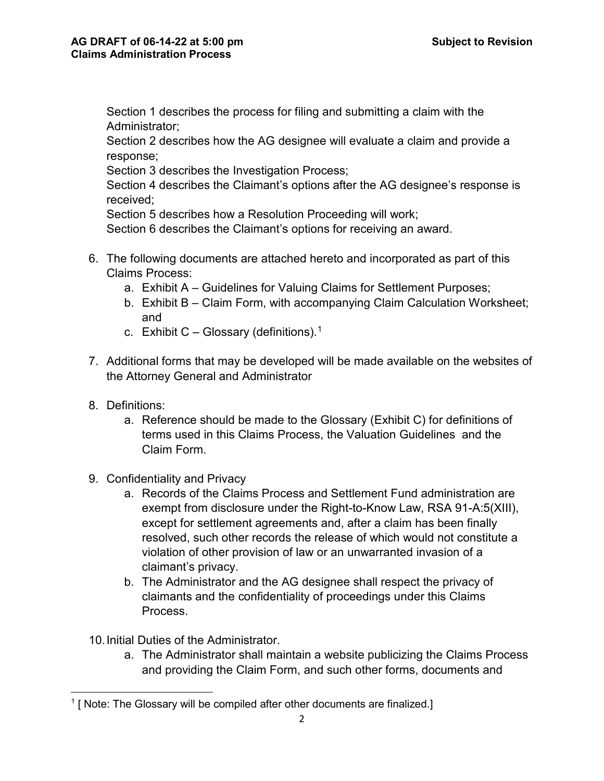Section 1 describes the process for filing and submitting a claim with the Administrator;

Section 2 describes how the AG designee will evaluate a claim and provide a response;

Section 3 describes the Investigation Process;

Section 4 describes the Claimant's options after the AG designee's response is received;

Section 5 describes how a Resolution Proceeding will work;

Section 6 describes the Claimant's options for receiving an award.

- 6. The following documents are attached hereto and incorporated as part of this Claims Process:
	- a. Exhibit A Guidelines for Valuing Claims for Settlement Purposes;
	- b. Exhibit B Claim Form, with accompanying Claim Calculation Worksheet; and
	- c. Exhibit C Glossary (definitions). $^1$  $^1$
- 7. Additional forms that may be developed will be made available on the websites of the Attorney General and Administrator
- 8. Definitions:
	- a. Reference should be made to the Glossary (Exhibit C) for definitions of terms used in this Claims Process, the Valuation Guidelines and the Claim Form.
- 9. Confidentiality and Privacy
	- a. Records of the Claims Process and Settlement Fund administration are exempt from disclosure under the Right-to-Know Law, RSA 91-A:5(XIII), except for settlement agreements and, after a claim has been finally resolved, such other records the release of which would not constitute a violation of other provision of law or an unwarranted invasion of a claimant's privacy.
	- b. The Administrator and the AG designee shall respect the privacy of claimants and the confidentiality of proceedings under this Claims Process.
- 10.Initial Duties of the Administrator.
	- a. The Administrator shall maintain a website publicizing the Claims Process and providing the Claim Form, and such other forms, documents and

<span id="page-1-0"></span>l  $1$  [ Note: The Glossary will be compiled after other documents are finalized.]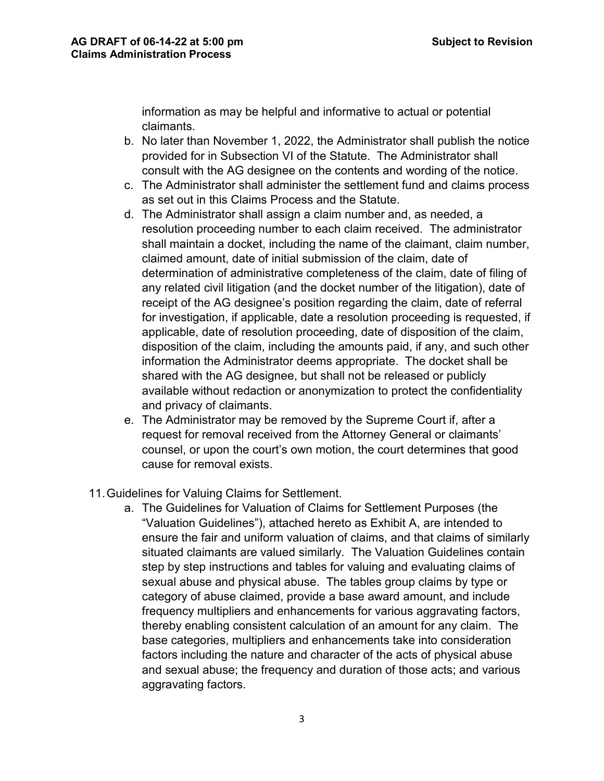information as may be helpful and informative to actual or potential claimants.

- b. No later than November 1, 2022, the Administrator shall publish the notice provided for in Subsection VI of the Statute. The Administrator shall consult with the AG designee on the contents and wording of the notice.
- c. The Administrator shall administer the settlement fund and claims process as set out in this Claims Process and the Statute.
- d. The Administrator shall assign a claim number and, as needed, a resolution proceeding number to each claim received. The administrator shall maintain a docket, including the name of the claimant, claim number, claimed amount, date of initial submission of the claim, date of determination of administrative completeness of the claim, date of filing of any related civil litigation (and the docket number of the litigation), date of receipt of the AG designee's position regarding the claim, date of referral for investigation, if applicable, date a resolution proceeding is requested, if applicable, date of resolution proceeding, date of disposition of the claim, disposition of the claim, including the amounts paid, if any, and such other information the Administrator deems appropriate. The docket shall be shared with the AG designee, but shall not be released or publicly available without redaction or anonymization to protect the confidentiality and privacy of claimants.
- e. The Administrator may be removed by the Supreme Court if, after a request for removal received from the Attorney General or claimants' counsel, or upon the court's own motion, the court determines that good cause for removal exists.
- 11.Guidelines for Valuing Claims for Settlement.
	- a. The Guidelines for Valuation of Claims for Settlement Purposes (the "Valuation Guidelines"), attached hereto as Exhibit A, are intended to ensure the fair and uniform valuation of claims, and that claims of similarly situated claimants are valued similarly. The Valuation Guidelines contain step by step instructions and tables for valuing and evaluating claims of sexual abuse and physical abuse. The tables group claims by type or category of abuse claimed, provide a base award amount, and include frequency multipliers and enhancements for various aggravating factors, thereby enabling consistent calculation of an amount for any claim. The base categories, multipliers and enhancements take into consideration factors including the nature and character of the acts of physical abuse and sexual abuse; the frequency and duration of those acts; and various aggravating factors.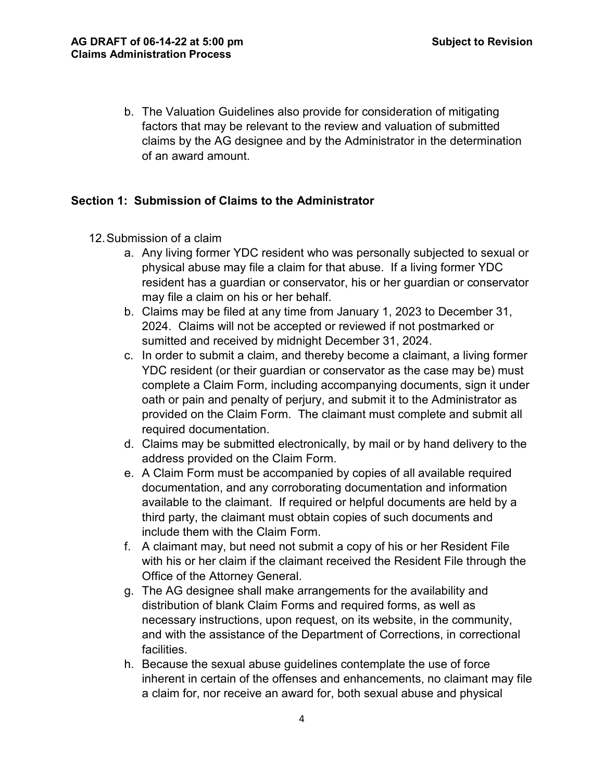b. The Valuation Guidelines also provide for consideration of mitigating factors that may be relevant to the review and valuation of submitted claims by the AG designee and by the Administrator in the determination of an award amount.

#### **Section 1: Submission of Claims to the Administrator**

- 12.Submission of a claim
	- a. Any living former YDC resident who was personally subjected to sexual or physical abuse may file a claim for that abuse. If a living former YDC resident has a guardian or conservator, his or her guardian or conservator may file a claim on his or her behalf.
	- b. Claims may be filed at any time from January 1, 2023 to December 31, 2024. Claims will not be accepted or reviewed if not postmarked or sumitted and received by midnight December 31, 2024.
	- c. In order to submit a claim, and thereby become a claimant, a living former YDC resident (or their guardian or conservator as the case may be) must complete a Claim Form, including accompanying documents, sign it under oath or pain and penalty of perjury, and submit it to the Administrator as provided on the Claim Form. The claimant must complete and submit all required documentation.
	- d. Claims may be submitted electronically, by mail or by hand delivery to the address provided on the Claim Form.
	- e. A Claim Form must be accompanied by copies of all available required documentation, and any corroborating documentation and information available to the claimant. If required or helpful documents are held by a third party, the claimant must obtain copies of such documents and include them with the Claim Form.
	- f. A claimant may, but need not submit a copy of his or her Resident File with his or her claim if the claimant received the Resident File through the Office of the Attorney General.
	- g. The AG designee shall make arrangements for the availability and distribution of blank Claim Forms and required forms, as well as necessary instructions, upon request, on its website, in the community, and with the assistance of the Department of Corrections, in correctional facilities.
	- h. Because the sexual abuse guidelines contemplate the use of force inherent in certain of the offenses and enhancements, no claimant may file a claim for, nor receive an award for, both sexual abuse and physical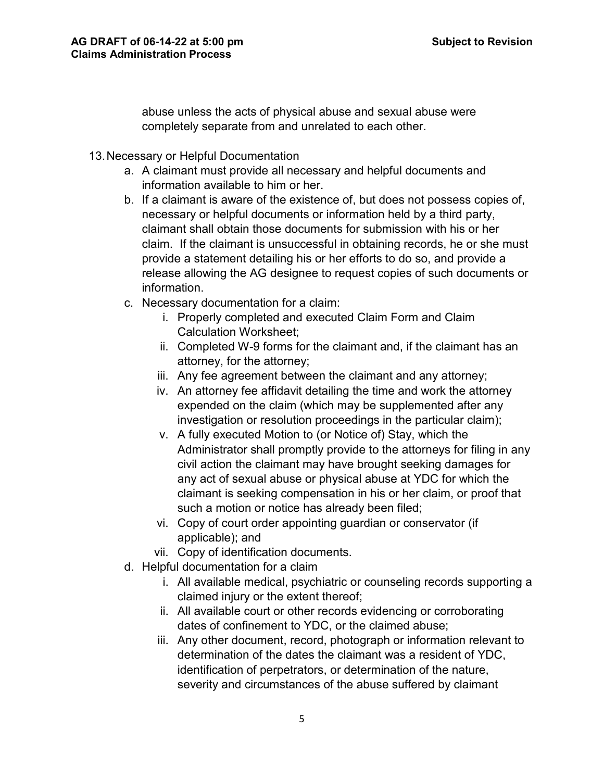abuse unless the acts of physical abuse and sexual abuse were completely separate from and unrelated to each other.

- 13.Necessary or Helpful Documentation
	- a. A claimant must provide all necessary and helpful documents and information available to him or her.
	- b. If a claimant is aware of the existence of, but does not possess copies of, necessary or helpful documents or information held by a third party, claimant shall obtain those documents for submission with his or her claim. If the claimant is unsuccessful in obtaining records, he or she must provide a statement detailing his or her efforts to do so, and provide a release allowing the AG designee to request copies of such documents or information.
	- c. Necessary documentation for a claim:
		- i. Properly completed and executed Claim Form and Claim Calculation Worksheet;
		- ii. Completed W-9 forms for the claimant and, if the claimant has an attorney, for the attorney;
		- iii. Any fee agreement between the claimant and any attorney;
		- iv. An attorney fee affidavit detailing the time and work the attorney expended on the claim (which may be supplemented after any investigation or resolution proceedings in the particular claim);
		- v. A fully executed Motion to (or Notice of) Stay, which the Administrator shall promptly provide to the attorneys for filing in any civil action the claimant may have brought seeking damages for any act of sexual abuse or physical abuse at YDC for which the claimant is seeking compensation in his or her claim, or proof that such a motion or notice has already been filed;
		- vi. Copy of court order appointing guardian or conservator (if applicable); and
		- vii. Copy of identification documents.
	- d. Helpful documentation for a claim
		- i. All available medical, psychiatric or counseling records supporting a claimed injury or the extent thereof;
		- ii. All available court or other records evidencing or corroborating dates of confinement to YDC, or the claimed abuse;
		- iii. Any other document, record, photograph or information relevant to determination of the dates the claimant was a resident of YDC, identification of perpetrators, or determination of the nature, severity and circumstances of the abuse suffered by claimant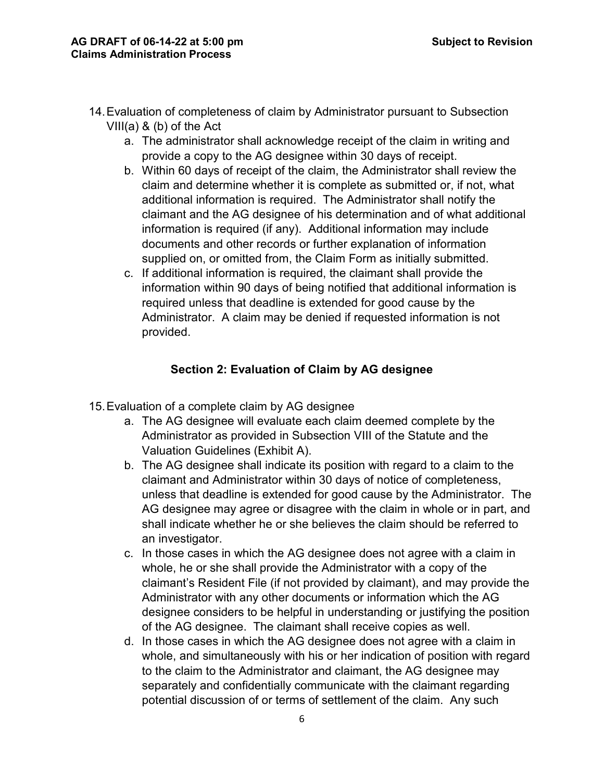- 14.Evaluation of completeness of claim by Administrator pursuant to Subsection VIII(a) & (b) of the Act
	- a. The administrator shall acknowledge receipt of the claim in writing and provide a copy to the AG designee within 30 days of receipt.
	- b. Within 60 days of receipt of the claim, the Administrator shall review the claim and determine whether it is complete as submitted or, if not, what additional information is required. The Administrator shall notify the claimant and the AG designee of his determination and of what additional information is required (if any). Additional information may include documents and other records or further explanation of information supplied on, or omitted from, the Claim Form as initially submitted.
	- c. If additional information is required, the claimant shall provide the information within 90 days of being notified that additional information is required unless that deadline is extended for good cause by the Administrator. A claim may be denied if requested information is not provided.

### **Section 2: Evaluation of Claim by AG designee**

- 15.Evaluation of a complete claim by AG designee
	- a. The AG designee will evaluate each claim deemed complete by the Administrator as provided in Subsection VIII of the Statute and the Valuation Guidelines (Exhibit A).
	- b. The AG designee shall indicate its position with regard to a claim to the claimant and Administrator within 30 days of notice of completeness, unless that deadline is extended for good cause by the Administrator. The AG designee may agree or disagree with the claim in whole or in part, and shall indicate whether he or she believes the claim should be referred to an investigator.
	- c. In those cases in which the AG designee does not agree with a claim in whole, he or she shall provide the Administrator with a copy of the claimant's Resident File (if not provided by claimant), and may provide the Administrator with any other documents or information which the AG designee considers to be helpful in understanding or justifying the position of the AG designee. The claimant shall receive copies as well.
	- d. In those cases in which the AG designee does not agree with a claim in whole, and simultaneously with his or her indication of position with regard to the claim to the Administrator and claimant, the AG designee may separately and confidentially communicate with the claimant regarding potential discussion of or terms of settlement of the claim. Any such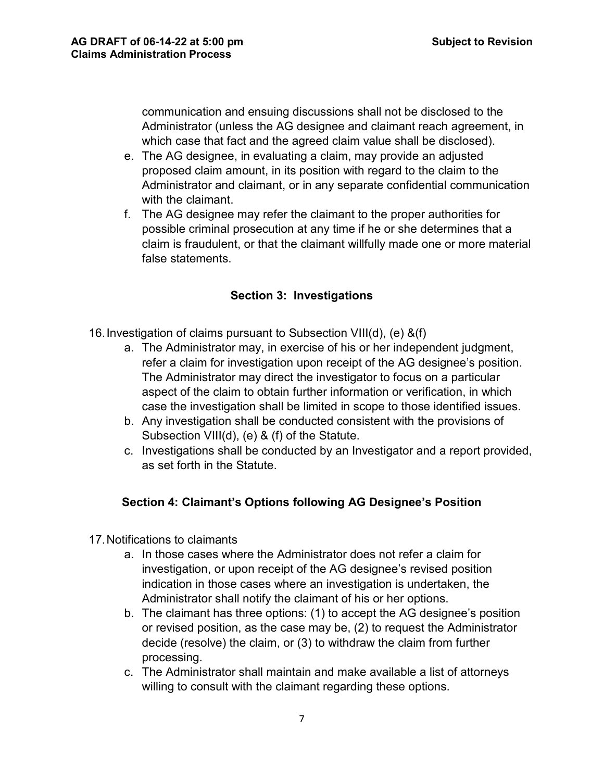communication and ensuing discussions shall not be disclosed to the Administrator (unless the AG designee and claimant reach agreement, in which case that fact and the agreed claim value shall be disclosed).

- e. The AG designee, in evaluating a claim, may provide an adjusted proposed claim amount, in its position with regard to the claim to the Administrator and claimant, or in any separate confidential communication with the claimant.
- f. The AG designee may refer the claimant to the proper authorities for possible criminal prosecution at any time if he or she determines that a claim is fraudulent, or that the claimant willfully made one or more material false statements.

### **Section 3: Investigations**

16.Investigation of claims pursuant to Subsection VIII(d), (e) &(f)

- a. The Administrator may, in exercise of his or her independent judgment, refer a claim for investigation upon receipt of the AG designee's position. The Administrator may direct the investigator to focus on a particular aspect of the claim to obtain further information or verification, in which case the investigation shall be limited in scope to those identified issues.
- b. Any investigation shall be conducted consistent with the provisions of Subsection VIII(d), (e) & (f) of the Statute.
- c. Investigations shall be conducted by an Investigator and a report provided, as set forth in the Statute.

#### **Section 4: Claimant's Options following AG Designee's Position**

- 17.Notifications to claimants
	- a. In those cases where the Administrator does not refer a claim for investigation, or upon receipt of the AG designee's revised position indication in those cases where an investigation is undertaken, the Administrator shall notify the claimant of his or her options.
	- b. The claimant has three options: (1) to accept the AG designee's position or revised position, as the case may be, (2) to request the Administrator decide (resolve) the claim, or (3) to withdraw the claim from further processing.
	- c. The Administrator shall maintain and make available a list of attorneys willing to consult with the claimant regarding these options.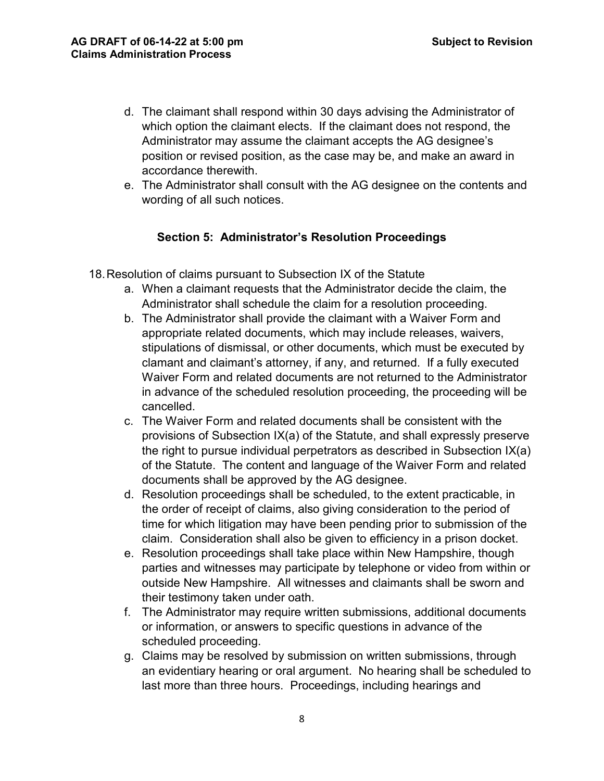- d. The claimant shall respond within 30 days advising the Administrator of which option the claimant elects. If the claimant does not respond, the Administrator may assume the claimant accepts the AG designee's position or revised position, as the case may be, and make an award in accordance therewith.
- e. The Administrator shall consult with the AG designee on the contents and wording of all such notices.

### **Section 5: Administrator's Resolution Proceedings**

- 18.Resolution of claims pursuant to Subsection IX of the Statute
	- a. When a claimant requests that the Administrator decide the claim, the Administrator shall schedule the claim for a resolution proceeding.
	- b. The Administrator shall provide the claimant with a Waiver Form and appropriate related documents, which may include releases, waivers, stipulations of dismissal, or other documents, which must be executed by clamant and claimant's attorney, if any, and returned. If a fully executed Waiver Form and related documents are not returned to the Administrator in advance of the scheduled resolution proceeding, the proceeding will be cancelled.
	- c. The Waiver Form and related documents shall be consistent with the provisions of Subsection IX(a) of the Statute, and shall expressly preserve the right to pursue individual perpetrators as described in Subsection IX(a) of the Statute. The content and language of the Waiver Form and related documents shall be approved by the AG designee.
	- d. Resolution proceedings shall be scheduled, to the extent practicable, in the order of receipt of claims, also giving consideration to the period of time for which litigation may have been pending prior to submission of the claim. Consideration shall also be given to efficiency in a prison docket.
	- e. Resolution proceedings shall take place within New Hampshire, though parties and witnesses may participate by telephone or video from within or outside New Hampshire. All witnesses and claimants shall be sworn and their testimony taken under oath.
	- f. The Administrator may require written submissions, additional documents or information, or answers to specific questions in advance of the scheduled proceeding.
	- g. Claims may be resolved by submission on written submissions, through an evidentiary hearing or oral argument. No hearing shall be scheduled to last more than three hours. Proceedings, including hearings and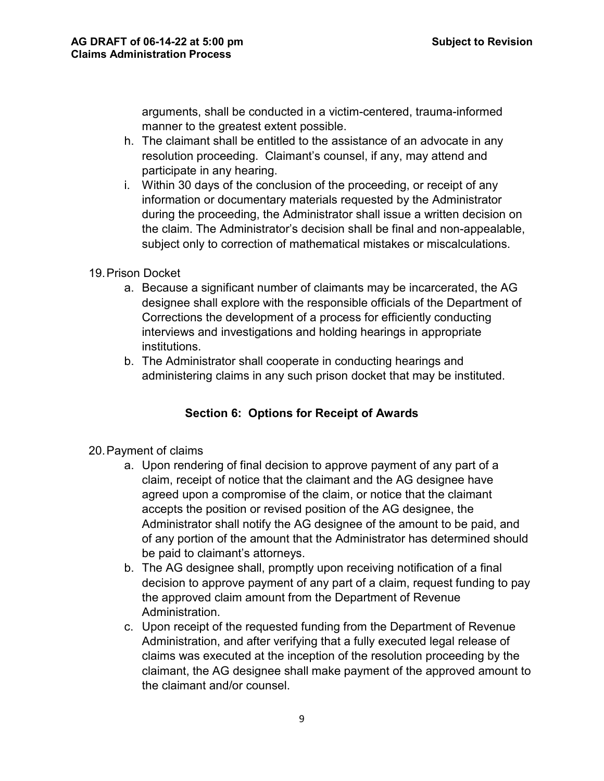arguments, shall be conducted in a victim-centered, trauma-informed manner to the greatest extent possible.

- h. The claimant shall be entitled to the assistance of an advocate in any resolution proceeding. Claimant's counsel, if any, may attend and participate in any hearing.
- i. Within 30 days of the conclusion of the proceeding, or receipt of any information or documentary materials requested by the Administrator during the proceeding, the Administrator shall issue a written decision on the claim. The Administrator's decision shall be final and non-appealable, subject only to correction of mathematical mistakes or miscalculations.

#### 19.Prison Docket

- a. Because a significant number of claimants may be incarcerated, the AG designee shall explore with the responsible officials of the Department of Corrections the development of a process for efficiently conducting interviews and investigations and holding hearings in appropriate institutions.
- b. The Administrator shall cooperate in conducting hearings and administering claims in any such prison docket that may be instituted.

# **Section 6: Options for Receipt of Awards**

- 20.Payment of claims
	- a. Upon rendering of final decision to approve payment of any part of a claim, receipt of notice that the claimant and the AG designee have agreed upon a compromise of the claim, or notice that the claimant accepts the position or revised position of the AG designee, the Administrator shall notify the AG designee of the amount to be paid, and of any portion of the amount that the Administrator has determined should be paid to claimant's attorneys.
	- b. The AG designee shall, promptly upon receiving notification of a final decision to approve payment of any part of a claim, request funding to pay the approved claim amount from the Department of Revenue Administration.
	- c. Upon receipt of the requested funding from the Department of Revenue Administration, and after verifying that a fully executed legal release of claims was executed at the inception of the resolution proceeding by the claimant, the AG designee shall make payment of the approved amount to the claimant and/or counsel.